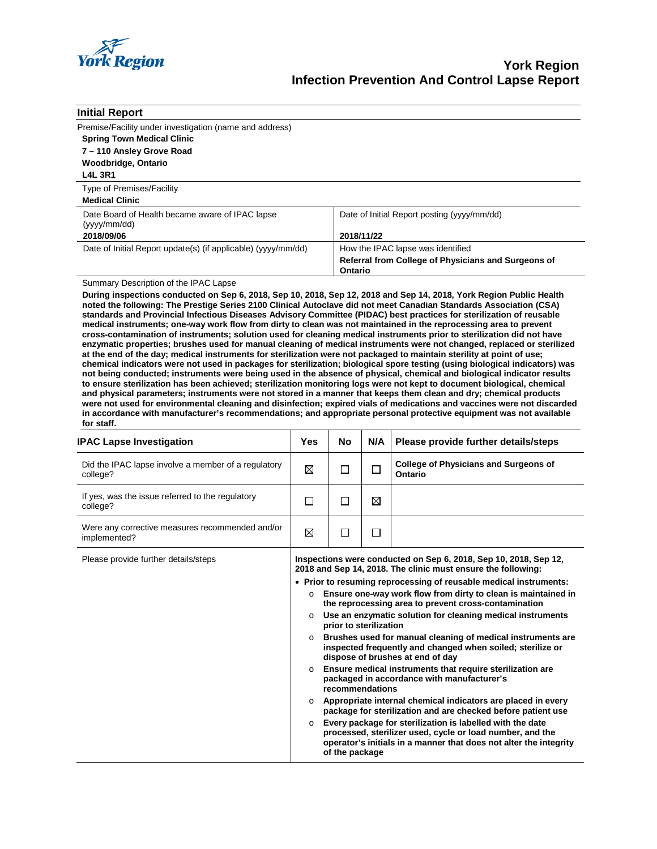

| <b>Initial Report</b>                                          |                                                                |
|----------------------------------------------------------------|----------------------------------------------------------------|
| Premise/Facility under investigation (name and address)        |                                                                |
| <b>Spring Town Medical Clinic</b>                              |                                                                |
| 7 - 110 Ansley Grove Road                                      |                                                                |
| <b>Woodbridge, Ontario</b>                                     |                                                                |
| <b>L4L 3R1</b>                                                 |                                                                |
| <b>Type of Premises/Facility</b>                               |                                                                |
| <b>Medical Clinic</b>                                          |                                                                |
| Date Board of Health became aware of IPAC lapse<br>(yyy/mm/dd) | Date of Initial Report posting (yyyy/mm/dd)                    |
| 2018/09/06                                                     | 2018/11/22                                                     |
| Date of Initial Report update(s) (if applicable) (yyyy/mm/dd)  | How the IPAC lapse was identified                              |
|                                                                | Referral from College of Physicians and Surgeons of<br>Ontario |

### Summary Description of the IPAC Lapse

**During inspections conducted on Sep 6, 2018, Sep 10, 2018, Sep 12, 2018 and Sep 14, 2018, York Region Public Health noted the following: The Prestige Series 2100 Clinical Autoclave did not meet Canadian Standards Association (CSA) standards and Provincial Infectious Diseases Advisory Committee (PIDAC) best practices for sterilization of reusable medical instruments; one-way work flow from dirty to clean was not maintained in the reprocessing area to prevent cross-contamination of instruments; solution used for cleaning medical instruments prior to sterilization did not have enzymatic properties; brushes used for manual cleaning of medical instruments were not changed, replaced or sterilized at the end of the day; medical instruments for sterilization were not packaged to maintain sterility at point of use; chemical indicators were not used in packages for sterilization; biological spore testing (using biological indicators) was not being conducted; instruments were being used in the absence of physical, chemical and biological indicator results to ensure sterilization has been achieved; sterilization monitoring logs were not kept to document biological, chemical and physical parameters; instruments were not stored in a manner that keeps them clean and dry; chemical products were not used for environmental cleaning and disinfection; expired vials of medications and vaccines were not discarded in accordance with manufacturer's recommendations; and appropriate personal protective equipment was not available for staff.**

| <b>IPAC Lapse Investigation</b>                                 | Yes                           | No                     | N/A    | Please provide further details/steps                                                                                                                                                                                                                                                                                                                                                                                                                                                                                      |
|-----------------------------------------------------------------|-------------------------------|------------------------|--------|---------------------------------------------------------------------------------------------------------------------------------------------------------------------------------------------------------------------------------------------------------------------------------------------------------------------------------------------------------------------------------------------------------------------------------------------------------------------------------------------------------------------------|
| Did the IPAC lapse involve a member of a regulatory<br>college? | ⊠                             | s.                     |        | <b>College of Physicians and Surgeons of</b><br>Ontario                                                                                                                                                                                                                                                                                                                                                                                                                                                                   |
| If yes, was the issue referred to the regulatory<br>college?    | П                             |                        | ⊠      |                                                                                                                                                                                                                                                                                                                                                                                                                                                                                                                           |
| Were any corrective measures recommended and/or<br>implemented? | ⊠                             |                        | $\Box$ |                                                                                                                                                                                                                                                                                                                                                                                                                                                                                                                           |
| Please provide further details/steps                            | $\circ$<br>$\circ$<br>$\circ$ | prior to sterilization |        | Inspections were conducted on Sep 6, 2018, Sep 10, 2018, Sep 12,<br>2018 and Sep 14, 2018. The clinic must ensure the following:<br>• Prior to resuming reprocessing of reusable medical instruments:<br>Ensure one-way work flow from dirty to clean is maintained in<br>the reprocessing area to prevent cross-contamination<br>Use an enzymatic solution for cleaning medical instruments<br>Brushes used for manual cleaning of medical instruments are<br>inspected frequently and changed when soiled; sterilize or |

- **dispose of brushes at end of day** o **Ensure medical instruments that require sterilization are packaged in accordance with manufacturer's recommendations**
- o **Appropriate internal chemical indicators are placed in every package for sterilization and are checked before patient use**
- o **Every package for sterilization is labelled with the date processed, sterilizer used, cycle or load number, and the operator's initials in a manner that does not alter the integrity of the package**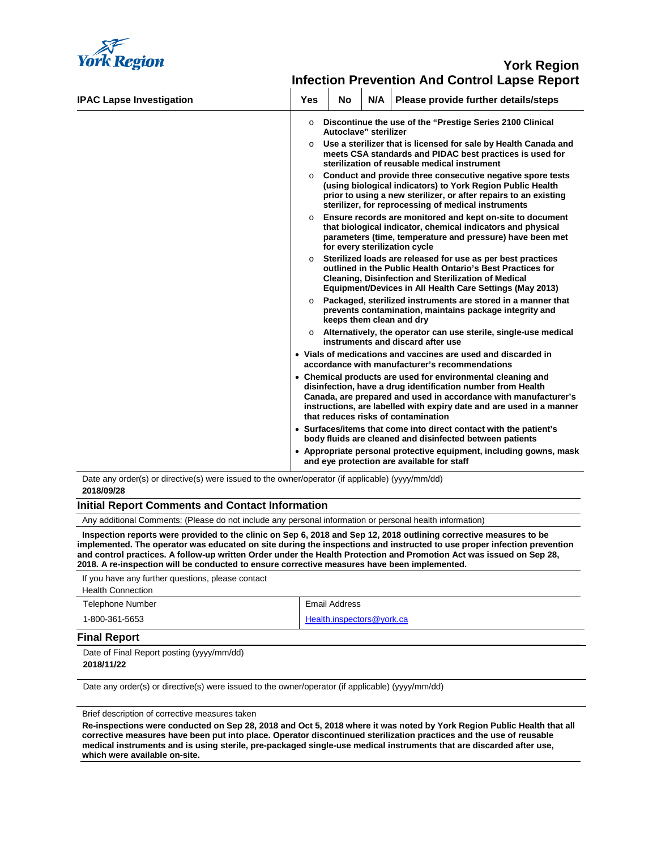

# **York Region Infection Prevention And Control Lapse Report**

| <b>IPAC Lapse Investigation</b> | <b>Yes</b> | No                       | N/A | Please provide further details/steps                                                                                                                                                                                                                                                                         |
|---------------------------------|------------|--------------------------|-----|--------------------------------------------------------------------------------------------------------------------------------------------------------------------------------------------------------------------------------------------------------------------------------------------------------------|
|                                 | $\circ$    | Autoclave" sterilizer    |     | Discontinue the use of the "Prestige Series 2100 Clinical                                                                                                                                                                                                                                                    |
|                                 |            |                          |     | $\circ$ Use a sterilizer that is licensed for sale by Health Canada and<br>meets CSA standards and PIDAC best practices is used for<br>sterilization of reusable medical instrument                                                                                                                          |
|                                 | $\Omega$   |                          |     | Conduct and provide three consecutive negative spore tests<br>(using biological indicators) to York Region Public Health<br>prior to using a new sterilizer, or after repairs to an existing<br>sterilizer, for reprocessing of medical instruments                                                          |
|                                 | $\circ$    |                          |     | Ensure records are monitored and kept on-site to document<br>that biological indicator, chemical indicators and physical<br>parameters (time, temperature and pressure) have been met<br>for every sterilization cycle                                                                                       |
|                                 | $\circ$    |                          |     | Sterilized loads are released for use as per best practices<br>outlined in the Public Health Ontario's Best Practices for<br><b>Cleaning, Disinfection and Sterilization of Medical</b><br>Equipment/Devices in All Health Care Settings (May 2013)                                                          |
|                                 | $\Omega$   | keeps them clean and dry |     | Packaged, sterilized instruments are stored in a manner that<br>prevents contamination, maintains package integrity and                                                                                                                                                                                      |
|                                 |            |                          |     | $\circ$ Alternatively, the operator can use sterile, single-use medical<br>instruments and discard after use                                                                                                                                                                                                 |
|                                 |            |                          |     | • Vials of medications and vaccines are used and discarded in<br>accordance with manufacturer's recommendations                                                                                                                                                                                              |
|                                 |            |                          |     | • Chemical products are used for environmental cleaning and<br>disinfection, have a drug identification number from Health<br>Canada, are prepared and used in accordance with manufacturer's<br>instructions, are labelled with expiry date and are used in a manner<br>that reduces risks of contamination |
|                                 |            |                          |     | • Surfaces/items that come into direct contact with the patient's<br>body fluids are cleaned and disinfected between patients                                                                                                                                                                                |
|                                 |            |                          |     | • Appropriate personal protective equipment, including gowns, mask<br>and eye protection are available for staff                                                                                                                                                                                             |

Date any order(s) or directive(s) were issued to the owner/operator (if applicable) (yyyy/mm/dd) **2018/09/28**

#### **Initial Report Comments and Contact Information**

Any additional Comments: (Please do not include any personal information or personal health information)

**Inspection reports were provided to the clinic on Sep 6, 2018 and Sep 12, 2018 outlining corrective measures to be implemented. The operator was educated on site during the inspections and instructed to use proper infection prevention and control practices. A follow-up written Order under the Health Protection and Promotion Act was issued on Sep 28, 2018. A re-inspection will be conducted to ensure corrective measures have been implemented.**

| If you have any further questions, please contact |                           |
|---------------------------------------------------|---------------------------|
| <b>Health Connection</b>                          |                           |
| Telephone Number                                  | Email Address             |
| 1-800-361-5653                                    | Health.inspectors@york.ca |

### **Final Report**

Date of Final Report posting (yyyy/mm/dd) **2018/11/22**

Date any order(s) or directive(s) were issued to the owner/operator (if applicable) (yyyy/mm/dd)

Brief description of corrective measures taken

**Re-inspections were conducted on Sep 28, 2018 and Oct 5, 2018 where it was noted by York Region Public Health that all corrective measures have been put into place. Operator discontinued sterilization practices and the use of reusable medical instruments and is using sterile, pre-packaged single-use medical instruments that are discarded after use, which were available on-site.**